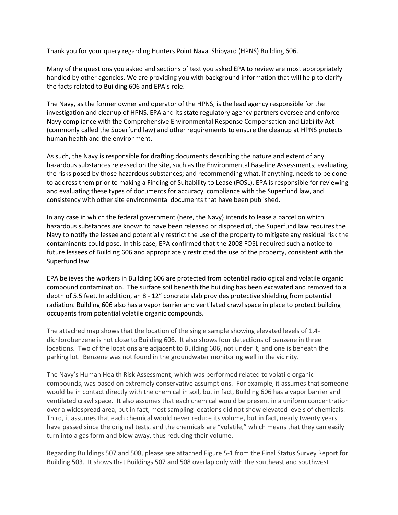Thank you for your query regarding Hunters Point Naval Shipyard (HPNS) Building 606.

Many of the questions you asked and sections of text you asked EPA to review are most appropriately handled by other agencies. We are providing you with background information that will help to clarify the facts related to Building 606 and EPA's role.

The Navy, as the former owner and operator of the HPNS, is the lead agency responsible for the investigation and cleanup of HPNS. EPA and its state regulatory agency partners oversee and enforce Navy compliance with the Comprehensive Environmental Response Compensation and Liability Act (commonly called the Superfund law) and other requirements to ensure the cleanup at HPNS protects human health and the environment.

As such, the Navy is responsible for drafting documents describing the nature and extent of any hazardous substances released on the site, such as the Environmental Baseline Assessments; evaluating the risks posed by those hazardous substances; and recommending what, if anything, needs to be done to address them prior to making a Finding of Suitability to Lease (FOSL). EPA is responsible for reviewing and evaluating these types of documents for accuracy, compliance with the Superfund law, and consistency with other site environmental documents that have been published.

In any case in which the federal government (here, the Navy) intends to lease a parcel on which hazardous substances are known to have been released or disposed of, the Superfund law requires the Navy to notify the lessee and potentially restrict the use of the property to mitigate any residual risk the contaminants could pose. In this case, EPA confirmed that the 2008 FOSL required such a notice to future lessees of Building 606 and appropriately restricted the use of the property, consistent with the Superfund law.

EPA believes the workers in Building 606 are protected from potential radiological and volatile organic compound contamination. The surface soil beneath the building has been excavated and removed to a depth of 5.5 feet. In addition, an 8 - 12" concrete slab provides protective shielding from potential radiation. Building 606 also has a vapor barrier and ventilated crawl space in place to protect building occupants from potential volatile organic compounds.

The attached map shows that the location of the single sample showing elevated levels of 1,4 dichlorobenzene is not close to Building 606. It also shows four detections of benzene in three locations. Two of the locations are adjacent to Building 606, not under it, and one is beneath the parking lot. Benzene was not found in the groundwater monitoring well in the vicinity.

The Navy's Human Health Risk Assessment, which was performed related to volatile organic compounds, was based on extremely conservative assumptions. For example, it assumes that someone would be in contact directly with the chemical in soil, but in fact, Building 606 has a vapor barrier and ventilated crawl space. It also assumes that each chemical would be present in a uniform concentration over a widespread area, but in fact, most sampling locations did not show elevated levels of chemicals. Third, it assumes that each chemical would never reduce its volume, but in fact, nearly twenty years have passed since the original tests, and the chemicals are "volatile," which means that they can easily turn into a gas form and blow away, thus reducing their volume.

Regarding Buildings 507 and 508, please see attached Figure 5-1 from the Final Status Survey Report for Building 503. It shows that Buildings 507 and 508 overlap only with the southeast and southwest